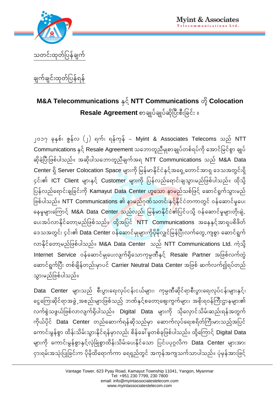

## ချက်ချင်းထုတ်ပြန်ရန်

## **M&A** Telecommunications နင် NTT Communications တို့ Colocation  $\textbf{Resale Agreement} \, \textcolor{red}{\text{loglogmin}}$ ပ်ချုပ်ဆိုပြီးစီးခြင်း ။

**2017 ckóSpf? ZGefv (2) \uf? \efukef -** Myint & Associates Telecoms **onf** NTT  $\blacksquare$ Communications နှင့် Resale Agreement သဘောတူညီမျစာချုပ်တစ်ရပ်ကို အောင်မြင်စွာ ချုပ် ဆိုခဲ့ပြီးဖြစ်ပါသည်။ အဆိုပါသဘောတူညီချက်အရ NTT Communications သည် M&A Data Center ရှိ Server Colocation Space များကို မြန်မာနိုင်ငံနှင့်အရှေ့တောင်အာရှ ဒေသအတွင်းရှိ ၄င်း၏ **ICT Client** များနှင့် Customer များကို ပြန်လည်ရောင်းချသွားမည်ဖြစ်ပါသည်။ ထိုသို့ ပြန်လည်ရောင်းချခြင်းကို **Kamayut Data Center ဟူသော နာမ**ည်သစ်ဖြင့် ဆောင်ရွက်သွားမည် ဖြစ်ပါသည်။ NTT Communications ၏ န<mark>ှာမည်</mark>ဂုဏ်သတင်းန<mark>ှင့်</mark>နိုင်ငံတကာတွင် ဝန်ဆောင်မှုပေး နေမှုများကြောင့် **M&A Data Center သည်လည်း မြန်မာနိုင်ငံ၏**ပြင်ပသို့ ဝန်ဆောင်မှုများတိုးချဲ့ ပေးအပ်လာနိုင်တော့မည်ဖြစ်သည်။ ထို့အပြင် NTT Communications အနေနှင့်အာရှပစိဖိတ် <mark>ဒေသအတွင်း ၄င်း၏ Data Center</mark> ဝန်ဆောင်မှုများကိုပိုမိုလျှင်မြန်ပြီးလက်တွေ.ကျစွာ ဆောင်ရွက်  $\cos\theta$ နိုင်တော့မည်ဖြစ်ပါသည်။ M&A Data Center သည် NTT Communications Ltd. ကဲ့သို့ Internet Service ဝန်ဆောင်မှုပေးလျက်ရှိသောကုမ္ပဏီနှင့် Resale Partner အဖြစ်လက်တွဲ ဆောင်ရွက်ပြီး တစ်ချိန်တည်းမှာပင် **Carrier Neutral Data Center** အဖြစ် ဆက်လက်၍ရပ်တည် <u>သွားမည်ဖြစ်ပါသည်။</u>

Data Center များသည် စီးပွားရေးလုပ်ငန်းငယ်များ၊ ကုမ္ပဏီဆိုင်ရာစီးပွားရေးလုပ်ငန်းများနှင့်၊ kေကြေးဆိုင်ရာအဖွဲ့ အစည်းများဖြစ်သည် ဘဏ်နှင့်စတော့ဈေးကွက်များ၊ အစိုးရဝန်ကြီးဌာနများ၏ လက်စွဲသဖွယ်ဖြစ်လာလျက်ရှိပါသည်။ **Digital Data** များကို သိုလှောင်သိမ်းဆည်းရန်အတွက် ကိုယ်ပိုင် **Data Center** တည်ဆောက်ရန်ဆိုသည်မှာ ဆောက်လုပ်ရေးစရိတ်ကြီးမားသည်အပြင် ကောင်းမွန်စွာ ထိန်းသိမ်းသွားနိုင်ရန်မှာလည်း စိန်ခေါ်မှုတစ်ခုဖြစ်ပါသည်။ ထိုကြောင့် Digital Data **rsm:udk aumif:rGefpGmóSifhvHkúcHKpGmxdef:odrf:ay:ódkifaom ]yifyyk®vdu** Data Center **rsm:tm:**  ုငှားရမ်းအသုံးပြုခြင်းက ပိုမိုထိရောက်ကာ ရေရှည်တွင် အကုန်အကျသက်သာပါသည်။ ပုံမှန်အားဖြင့်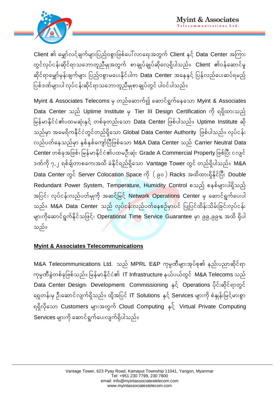

Client **> arûmfvifhcsufrsm:]ynfh0pGm]zpfay;vma\:twGuf** Client **óSifh** Data Center **tjum:** <mark>တွင်လုပ်ငန်းဆိုင်ရာသဘောတူညီမျအတွက် စာချုပ်ချုပ်ဆိုလေ့ရှိပါသည်။ **Client** ၏ဝန်ဆောင်မှု</mark> ဆိုင်ရာမှော်မုန်းချက်များ ပြည်ဝစွာမပေးနိုင်ပါက **Data Center** အနေနှင့် ပြန်လည်ပေးဆပ်ရမည့်  $\lceil \Omega_\text{D} \rceil$ ဖြစ်အက်များပါ လုပ်ငန်းဆိုင်ရာသဘောတူညီမျှစာချုပ်တွင် ပါဝင်ပါသည်။

 $M$ yint & Associates Telecoms မှ တည်ဆောက်၍ ဆောင်ရွက်နေသော Myint & Associates Data Center သည် Uptime Institute မှ Tier III Design Certification ကို ရရှိထားသည် မြန်မာနိုင်ငံ၏ပထမဆုံးနှင့် တစ်ခုတည်းသော Data Center ဖြစ်ပါသည်။ Uptime Institute ဆို သည်မှာ အမေရိကနိုင်ငံတွင်တည်ရှိသော Global Data Center Authority ဖြစ်ပါသည်။ လုပ်ငန်း **vnfywfaeonfrSm óSpfóSpfausmfúyD]zpfaom** M&A Data Center **onf** Carrier Neutral Data  $C$ enter တစ်ခုအဖြစ်၊ မြန်မာနိုင်ငံ၏ပထမဦးဆုံး Grade A Commercial Property ဖြစ်ပြီး ငလျင် **'Efudk 7.2 \pfcsfwmpau:txd cHódkif\nf\Sdaom** Vantage Tower **wGif wnf\Sdygonf`** M&A Data Center တွင် Server Colocation Space ကို ( ၉၀ ) Racks အထိထားရှိနိုင်ပြီး Double Redundant Power System, Temperature, Humidity Control စသည် စနစ်များပါရှိသည် အပြင်၊ လုပ်ငန်းလည်ပတ်မျကို အဆင့်မြင့် Network Operations Center မှ ဆောင်ရွက်ပေးပါ သည်။ **M&A Data Center သည် လုပ်ငန်းလည်ပတ်နေစဉ်မှာပ**င် ပြုပြင်ထိန်းသိမ်းခြင်းလုပ်ငန်း များကိုဆောင်ရွက်နိုင်သဖြင့်၊ Operational Time Service Guarantee မှာ ၉၉.၉၉% အထိ ရှိပါ **သည်**။

## **Myint & Associates Telecommunications**

M&A Telecommunications Ltd. သည် MPRL E&P ကုမ္ပဏီများအုပ်စု၏ နည်းပညာဆိုင်ရာ ကုမ္ပဏီခွဲတစ်ခုဖြစ်သည်။ မြန်မာနိုင်ငံ၏ IT Infrastructure နယ်ပယ်တွင် M&A Telecoms သည် Data Center Designi Developmenti Commissioning နှင့် Operations ပိုင်းဆိုင်ရာတွင် 'ရှေတန်းမှ ဦးဆောင်လျက်ရှိသည်။ ထို့အပြင် **IT Solutions နှင့် Services များကို စံ**နှုန်းမြင့်မားစွာ **\\Sdvdkaom** Customers **rsm:twGuf** Cloud Computing **óSifh** Virtual Private Computing  $S$ ervices များကို ဆောင်ရွက်ပေးလျက်ရှိပါသည်။